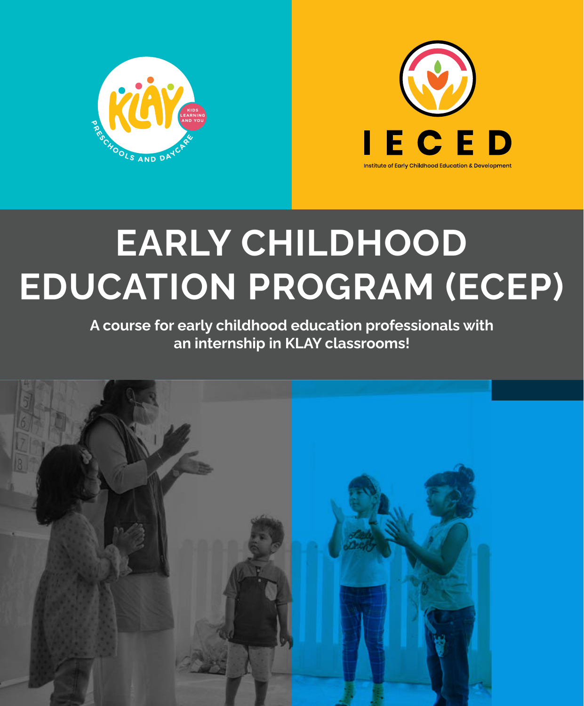



# **EARLY CHILDHOOD EDUCATION PROGRAM (ECEP)**

**A course for early childhood education professionals with an internship in KLAY classrooms!**

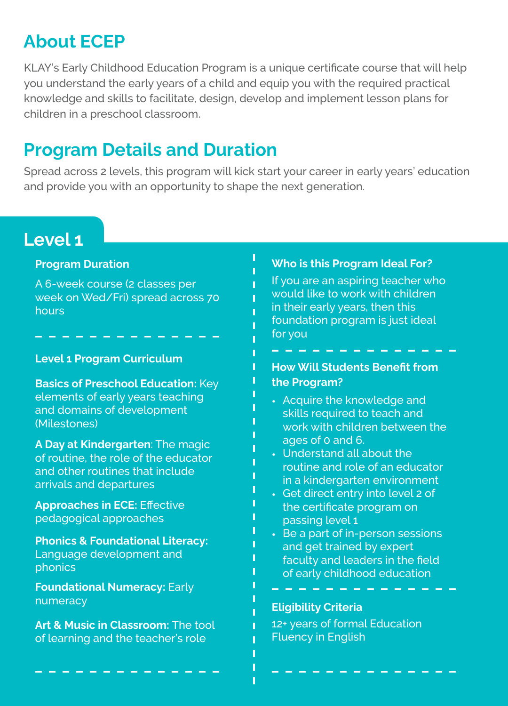## **About ECEP**

KLAY's Early Childhood Education Program is a unique certificate course that will help you understand the early years of a child and equip you with the required practical knowledge and skills to facilitate, design, develop and implement lesson plans for children in a preschool classroom.

## **Program Details and Duration**

Spread across 2 levels, this program will kick start your career in early years' education and provide you with an opportunity to shape the next generation.

## **Level 1**

#### **Program Duration**

A 6-week course (2 classes per week on Wed/Fri) spread across 70 hours

### **Level 1 Program Curriculum** <br> **How Will Students Benefit from**

**Basics of Preschool Education:** Key elements of early years teaching and domains of development (Milestones)

**A Day at Kindergarten**: The magic of routine, the role of the educator and other routines that include arrivals and departures

**Approaches in ECE:** Effective pedagogical approaches

**Phonics & Foundational Literacy:**  Language development and phonics

**Foundational Numeracy:** Early numeracy

**Art & Music in Classroom:** The tool of learning and the teacher's role

#### **Who is this Program Ideal For?**

If you are an aspiring teacher who would like to work with children in their early years, then this foundation program is just ideal for you

## **the Program?**

- Acquire the knowledge and **•** skills required to teach and work with children between the ages of 0 and 6.
- Understand all about the **•** routine and role of an educator in a kindergarten environment
- Get direct entry into level 2 of **•** the certificate program on passing level 1
- Be a part of in-person sessions **•**and get trained by expert faculty and leaders in the field of early childhood education

#### **Eligibility Criteria**

12+ years of formal Education Fluency in English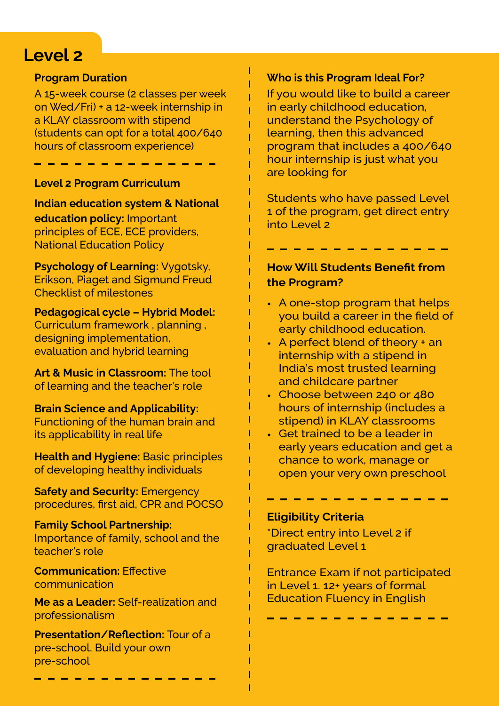## **Level 2**

#### **Program Duration**

A 15-week course (2 classes per week on Wed/Fri) + a 12-week internship in a KLAY classroom with stipend (students can opt for a total 400/640 hours of classroom experience)

#### **Level 2 Program Curriculum**

**Indian education system & National education policy:** Important principles of ECE, ECE providers, National Education Policy

**Psychology of Learning:** Vygotsky, Erikson, Piaget and Sigmund Freud Checklist of milestones

**Pedagogical cycle – Hybrid Model:**  Curriculum framework , planning , designing implementation, evaluation and hybrid learning

**Art & Music in Classroom:** The tool of learning and the teacher's role

**Brain Science and Applicability:**  Functioning of the human brain and its applicability in real life

**Health and Hygiene: Basic principles** of developing healthy individuals

**Safety and Security: Emergency** procedures, first aid, CPR and POCSO

**Family School Partnership:**  Importance of family, school and the teacher's role

**Communication: Effective** communication

**Me as a Leader:** Self-realization and professionalism

**Presentation/Reflection: Tour of a** pre-school, Build your own pre-school

#### **Who is this Program Ideal For?**

If you would like to build a career in early childhood education, understand the Psychology of learning, then this advanced program that includes a 400/640 hour internship is just what you are looking for

Students who have passed Level 1 of the program, get direct entry into Level 2

#### **How Will Students Benefit from the Program?**

- A one-stop program that helps **•** you build a career in the field of early childhood education.
- A perfect blend of theory + an **•** internship with a stipend in India's most trusted learning and childcare partner
- Choose between 240 or 480 **•** hours of internship (includes a stipend) in KLAY classrooms
- Get trained to be a leader in **•**early years education and get a chance to work, manage or open your very own preschool

#### **Eligibility Criteria**

\*Direct entry into Level 2 if graduated Level 1

Entrance Exam if not participated in Level 1. 12+ years of formal Education Fluency in English